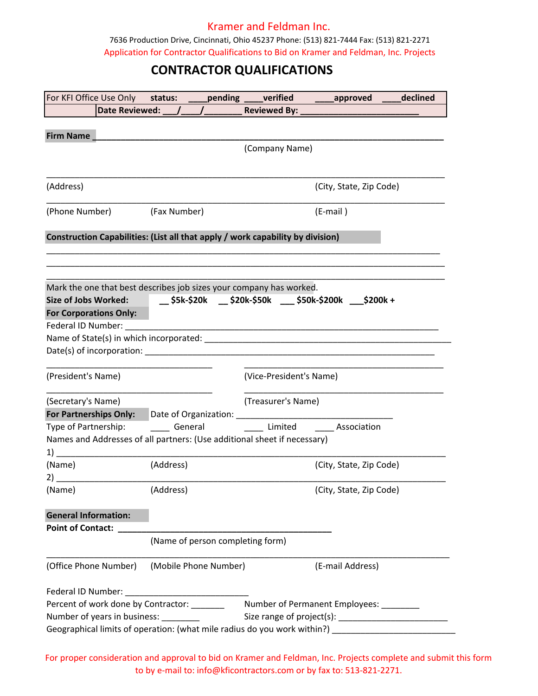## Kramer and Feldman Inc.

7636 Production Drive, Cincinnati, Ohio 45237 Phone: (513) 821-7444 Fax: (513) 821-2271 Application for Contractor Qualifications to Bid on Kramer and Feldman, Inc. Projects

## **CONTRACTOR QUALIFICATIONS**

| Date Reviewed: / / /<br>Reviewed By: _<br>Firm Name<br>(Company Name)<br>(City, State, Zip Code)<br>(Fax Number)<br>(E-mail)<br>Construction Capabilities: (List all that apply / work capability by division)<br>Mark the one that best describes job sizes your company has worked.<br><b>For Corporations Only:</b><br>(President's Name)<br>(Vice-President's Name)<br>(Treasurer's Name)<br>For Partnerships Only: Date of Organization: ___________________________________<br>Type of Partnership: __________ General ___________________Limited _____________Association<br>Names and Addresses of all partners: (Use additional sheet if necessary)<br>(Address)<br>(City, State, Zip Code)<br>(Address)<br>(City, State, Zip Code)<br><b>General Information:</b><br><b>Point of Contact:</b><br>(Name of person completing form)<br>(Mobile Phone Number)<br>(E-mail Address)<br>Percent of work done by Contractor: ________ Number of Permanent Employees: ______<br>Number of years in business: _________<br>Geographical limits of operation: (what mile radius do you work within?) __________________________ | For KFI Office Use Only status: _____pending ____verified _____approved ____declined |  |  |  |  |  |  |
|---------------------------------------------------------------------------------------------------------------------------------------------------------------------------------------------------------------------------------------------------------------------------------------------------------------------------------------------------------------------------------------------------------------------------------------------------------------------------------------------------------------------------------------------------------------------------------------------------------------------------------------------------------------------------------------------------------------------------------------------------------------------------------------------------------------------------------------------------------------------------------------------------------------------------------------------------------------------------------------------------------------------------------------------------------------------------------------------------------------------------------|--------------------------------------------------------------------------------------|--|--|--|--|--|--|
|                                                                                                                                                                                                                                                                                                                                                                                                                                                                                                                                                                                                                                                                                                                                                                                                                                                                                                                                                                                                                                                                                                                                 |                                                                                      |  |  |  |  |  |  |
|                                                                                                                                                                                                                                                                                                                                                                                                                                                                                                                                                                                                                                                                                                                                                                                                                                                                                                                                                                                                                                                                                                                                 |                                                                                      |  |  |  |  |  |  |
|                                                                                                                                                                                                                                                                                                                                                                                                                                                                                                                                                                                                                                                                                                                                                                                                                                                                                                                                                                                                                                                                                                                                 |                                                                                      |  |  |  |  |  |  |
|                                                                                                                                                                                                                                                                                                                                                                                                                                                                                                                                                                                                                                                                                                                                                                                                                                                                                                                                                                                                                                                                                                                                 |                                                                                      |  |  |  |  |  |  |
|                                                                                                                                                                                                                                                                                                                                                                                                                                                                                                                                                                                                                                                                                                                                                                                                                                                                                                                                                                                                                                                                                                                                 |                                                                                      |  |  |  |  |  |  |
|                                                                                                                                                                                                                                                                                                                                                                                                                                                                                                                                                                                                                                                                                                                                                                                                                                                                                                                                                                                                                                                                                                                                 | (Address)                                                                            |  |  |  |  |  |  |
|                                                                                                                                                                                                                                                                                                                                                                                                                                                                                                                                                                                                                                                                                                                                                                                                                                                                                                                                                                                                                                                                                                                                 | (Phone Number)                                                                       |  |  |  |  |  |  |
|                                                                                                                                                                                                                                                                                                                                                                                                                                                                                                                                                                                                                                                                                                                                                                                                                                                                                                                                                                                                                                                                                                                                 |                                                                                      |  |  |  |  |  |  |
|                                                                                                                                                                                                                                                                                                                                                                                                                                                                                                                                                                                                                                                                                                                                                                                                                                                                                                                                                                                                                                                                                                                                 |                                                                                      |  |  |  |  |  |  |
|                                                                                                                                                                                                                                                                                                                                                                                                                                                                                                                                                                                                                                                                                                                                                                                                                                                                                                                                                                                                                                                                                                                                 |                                                                                      |  |  |  |  |  |  |
|                                                                                                                                                                                                                                                                                                                                                                                                                                                                                                                                                                                                                                                                                                                                                                                                                                                                                                                                                                                                                                                                                                                                 |                                                                                      |  |  |  |  |  |  |
|                                                                                                                                                                                                                                                                                                                                                                                                                                                                                                                                                                                                                                                                                                                                                                                                                                                                                                                                                                                                                                                                                                                                 |                                                                                      |  |  |  |  |  |  |
|                                                                                                                                                                                                                                                                                                                                                                                                                                                                                                                                                                                                                                                                                                                                                                                                                                                                                                                                                                                                                                                                                                                                 |                                                                                      |  |  |  |  |  |  |
|                                                                                                                                                                                                                                                                                                                                                                                                                                                                                                                                                                                                                                                                                                                                                                                                                                                                                                                                                                                                                                                                                                                                 |                                                                                      |  |  |  |  |  |  |
|                                                                                                                                                                                                                                                                                                                                                                                                                                                                                                                                                                                                                                                                                                                                                                                                                                                                                                                                                                                                                                                                                                                                 |                                                                                      |  |  |  |  |  |  |
|                                                                                                                                                                                                                                                                                                                                                                                                                                                                                                                                                                                                                                                                                                                                                                                                                                                                                                                                                                                                                                                                                                                                 |                                                                                      |  |  |  |  |  |  |
|                                                                                                                                                                                                                                                                                                                                                                                                                                                                                                                                                                                                                                                                                                                                                                                                                                                                                                                                                                                                                                                                                                                                 |                                                                                      |  |  |  |  |  |  |
|                                                                                                                                                                                                                                                                                                                                                                                                                                                                                                                                                                                                                                                                                                                                                                                                                                                                                                                                                                                                                                                                                                                                 |                                                                                      |  |  |  |  |  |  |
|                                                                                                                                                                                                                                                                                                                                                                                                                                                                                                                                                                                                                                                                                                                                                                                                                                                                                                                                                                                                                                                                                                                                 |                                                                                      |  |  |  |  |  |  |
|                                                                                                                                                                                                                                                                                                                                                                                                                                                                                                                                                                                                                                                                                                                                                                                                                                                                                                                                                                                                                                                                                                                                 |                                                                                      |  |  |  |  |  |  |
|                                                                                                                                                                                                                                                                                                                                                                                                                                                                                                                                                                                                                                                                                                                                                                                                                                                                                                                                                                                                                                                                                                                                 | (Secretary's Name)                                                                   |  |  |  |  |  |  |
|                                                                                                                                                                                                                                                                                                                                                                                                                                                                                                                                                                                                                                                                                                                                                                                                                                                                                                                                                                                                                                                                                                                                 |                                                                                      |  |  |  |  |  |  |
|                                                                                                                                                                                                                                                                                                                                                                                                                                                                                                                                                                                                                                                                                                                                                                                                                                                                                                                                                                                                                                                                                                                                 |                                                                                      |  |  |  |  |  |  |
|                                                                                                                                                                                                                                                                                                                                                                                                                                                                                                                                                                                                                                                                                                                                                                                                                                                                                                                                                                                                                                                                                                                                 |                                                                                      |  |  |  |  |  |  |
|                                                                                                                                                                                                                                                                                                                                                                                                                                                                                                                                                                                                                                                                                                                                                                                                                                                                                                                                                                                                                                                                                                                                 | 1)                                                                                   |  |  |  |  |  |  |
|                                                                                                                                                                                                                                                                                                                                                                                                                                                                                                                                                                                                                                                                                                                                                                                                                                                                                                                                                                                                                                                                                                                                 | (Name)                                                                               |  |  |  |  |  |  |
|                                                                                                                                                                                                                                                                                                                                                                                                                                                                                                                                                                                                                                                                                                                                                                                                                                                                                                                                                                                                                                                                                                                                 | 2)                                                                                   |  |  |  |  |  |  |
|                                                                                                                                                                                                                                                                                                                                                                                                                                                                                                                                                                                                                                                                                                                                                                                                                                                                                                                                                                                                                                                                                                                                 | (Name)                                                                               |  |  |  |  |  |  |
|                                                                                                                                                                                                                                                                                                                                                                                                                                                                                                                                                                                                                                                                                                                                                                                                                                                                                                                                                                                                                                                                                                                                 |                                                                                      |  |  |  |  |  |  |
|                                                                                                                                                                                                                                                                                                                                                                                                                                                                                                                                                                                                                                                                                                                                                                                                                                                                                                                                                                                                                                                                                                                                 |                                                                                      |  |  |  |  |  |  |
|                                                                                                                                                                                                                                                                                                                                                                                                                                                                                                                                                                                                                                                                                                                                                                                                                                                                                                                                                                                                                                                                                                                                 |                                                                                      |  |  |  |  |  |  |
|                                                                                                                                                                                                                                                                                                                                                                                                                                                                                                                                                                                                                                                                                                                                                                                                                                                                                                                                                                                                                                                                                                                                 |                                                                                      |  |  |  |  |  |  |
|                                                                                                                                                                                                                                                                                                                                                                                                                                                                                                                                                                                                                                                                                                                                                                                                                                                                                                                                                                                                                                                                                                                                 | (Office Phone Number)                                                                |  |  |  |  |  |  |
|                                                                                                                                                                                                                                                                                                                                                                                                                                                                                                                                                                                                                                                                                                                                                                                                                                                                                                                                                                                                                                                                                                                                 |                                                                                      |  |  |  |  |  |  |
|                                                                                                                                                                                                                                                                                                                                                                                                                                                                                                                                                                                                                                                                                                                                                                                                                                                                                                                                                                                                                                                                                                                                 |                                                                                      |  |  |  |  |  |  |
|                                                                                                                                                                                                                                                                                                                                                                                                                                                                                                                                                                                                                                                                                                                                                                                                                                                                                                                                                                                                                                                                                                                                 |                                                                                      |  |  |  |  |  |  |
|                                                                                                                                                                                                                                                                                                                                                                                                                                                                                                                                                                                                                                                                                                                                                                                                                                                                                                                                                                                                                                                                                                                                 |                                                                                      |  |  |  |  |  |  |
|                                                                                                                                                                                                                                                                                                                                                                                                                                                                                                                                                                                                                                                                                                                                                                                                                                                                                                                                                                                                                                                                                                                                 |                                                                                      |  |  |  |  |  |  |

For proper consideration and approval to bid on Kramer and Feldman, Inc. Projects complete and submit this form to by e-mail to: info@kficontractors.com or by fax to: 513-821-2271.